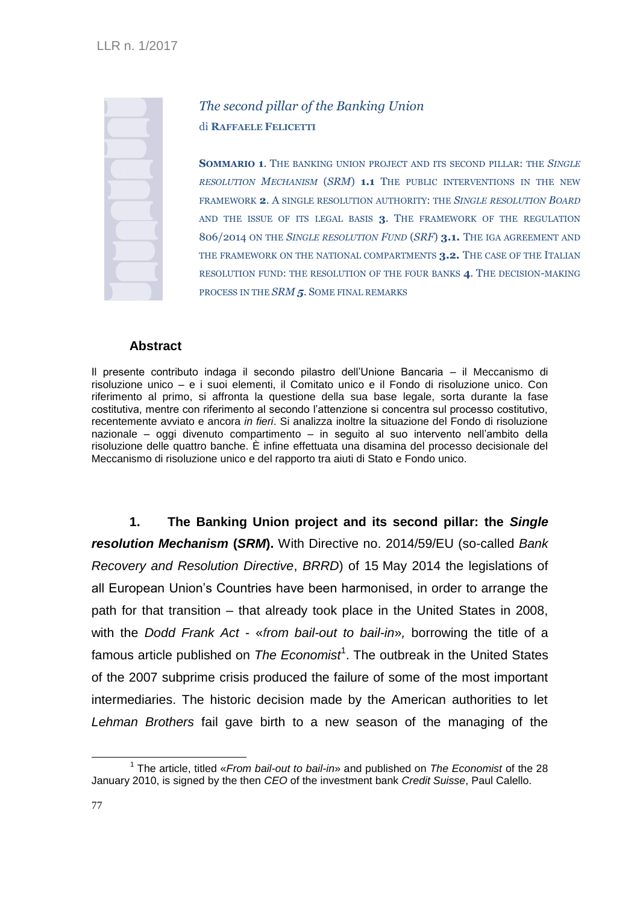## *The second pillar of the Banking Union* di **RAFFAELE FELICETTI**

**SOMMARIO 1**. THE BANKING UNION PROJECT AND ITS SECOND PILLAR: THE *SINGLE RESOLUTION MECHANISM* (*SRM*) **1.1** THE PUBLIC INTERVENTIONS IN THE NEW FRAMEWORK **2**. A SINGLE RESOLUTION AUTHORITY: THE *SINGLE RESOLUTION BOARD*  AND THE ISSUE OF ITS LEGAL BASIS **3**. THE FRAMEWORK OF THE REGULATION 806/2014 ON THE *SINGLE RESOLUTION FUND* (*SRF*) **3.1.** THE IGA AGREEMENT AND THE FRAMEWORK ON THE NATIONAL COMPARTMENTS **3.2.** THE CASE OF THE ITALIAN RESOLUTION FUND: THE RESOLUTION OF THE FOUR BANKS **4**. THE DECISION-MAKING PROCESS IN THE *SRM 5.* SOME FINAL REMARKS

## **Abstract**

Il presente contributo indaga il secondo pilastro dell'Unione Bancaria – il Meccanismo di risoluzione unico – e i suoi elementi, il Comitato unico e il Fondo di risoluzione unico. Con riferimento al primo, si affronta la questione della sua base legale, sorta durante la fase costitutiva, mentre con riferimento al secondo l'attenzione si concentra sul processo costitutivo, recentemente avviato e ancora *in fieri*. Si analizza inoltre la situazione del Fondo di risoluzione nazionale – oggi divenuto compartimento – in seguito al suo intervento nell'ambito della risoluzione delle quattro banche. È infine effettuata una disamina del processo decisionale del Meccanismo di risoluzione unico e del rapporto tra aiuti di Stato e Fondo unico.

**1. The Banking Union project and its second pillar: the** *Single resolution Mechanism* **(***SRM***).** With Directive no. 2014/59/EU (so-called *Bank Recovery and Resolution Directive*, *BRRD*) of 15 May 2014 the legislations of all European Union's Countries have been harmonised, in order to arrange the path for that transition – that already took place in the United States in 2008, with the *Dodd Frank Act* - «*from bail-out to bail-in*»*,* borrowing the title of a famous article published on *The Economist*<sup>1</sup>. The outbreak in the United States of the 2007 subprime crisis produced the failure of some of the most important intermediaries. The historic decision made by the American authorities to let *Lehman Brothers* fail gave birth to a new season of the managing of the

<sup>1</sup> The article, titled «*From bail-out to bail-in*» and published on *The Economist* of the 28 January 2010, is signed by the then *CEO* of the investment bank *Credit Suisse*, Paul Calello.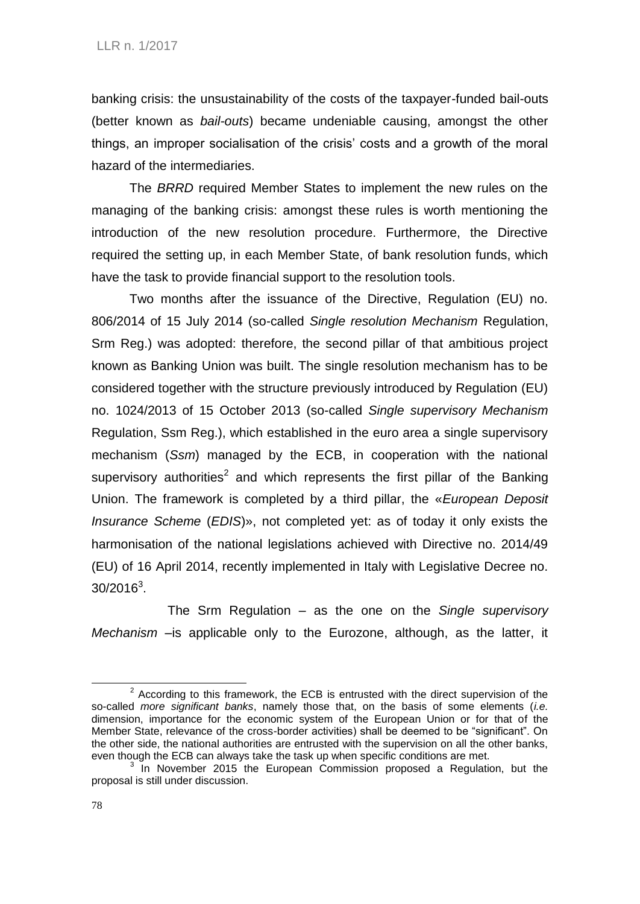banking crisis: the unsustainability of the costs of the taxpayer-funded bail-outs (better known as *bail-outs*) became undeniable causing, amongst the other things, an improper socialisation of the crisis' costs and a growth of the moral hazard of the intermediaries.

The *BRRD* required Member States to implement the new rules on the managing of the banking crisis: amongst these rules is worth mentioning the introduction of the new resolution procedure. Furthermore, the Directive required the setting up, in each Member State, of bank resolution funds, which have the task to provide financial support to the resolution tools.

Two months after the issuance of the Directive, Regulation (EU) no. 806/2014 of 15 July 2014 (so-called *Single resolution Mechanism* Regulation, Srm Reg.) was adopted: therefore, the second pillar of that ambitious project known as Banking Union was built. The single resolution mechanism has to be considered together with the structure previously introduced by Regulation (EU) no. 1024/2013 of 15 October 2013 (so-called *Single supervisory Mechanism* Regulation, Ssm Reg.), which established in the euro area a single supervisory mechanism (*Ssm*) managed by the ECB, in cooperation with the national supervisory authorities<sup>2</sup> and which represents the first pillar of the Banking Union. The framework is completed by a third pillar, the «*European Deposit Insurance Scheme* (*EDIS*)», not completed yet: as of today it only exists the harmonisation of the national legislations achieved with Directive no. 2014/49 (EU) of 16 April 2014, recently implemented in Italy with Legislative Decree no.  $30/2016^3$ .

The Srm Regulation – as the one on the *Single supervisory Mechanism* –is applicable only to the Eurozone, although, as the latter, it

 $2$  According to this framework, the ECB is entrusted with the direct supervision of the so-called *more significant banks*, namely those that, on the basis of some elements (*i.e.* dimension, importance for the economic system of the European Union or for that of the Member State, relevance of the cross-border activities) shall be deemed to be "significant". On the other side, the national authorities are entrusted with the supervision on all the other banks, even though the ECB can always take the task up when specific conditions are met.

<sup>3</sup> In November 2015 the European Commission proposed a Regulation, but the proposal is still under discussion.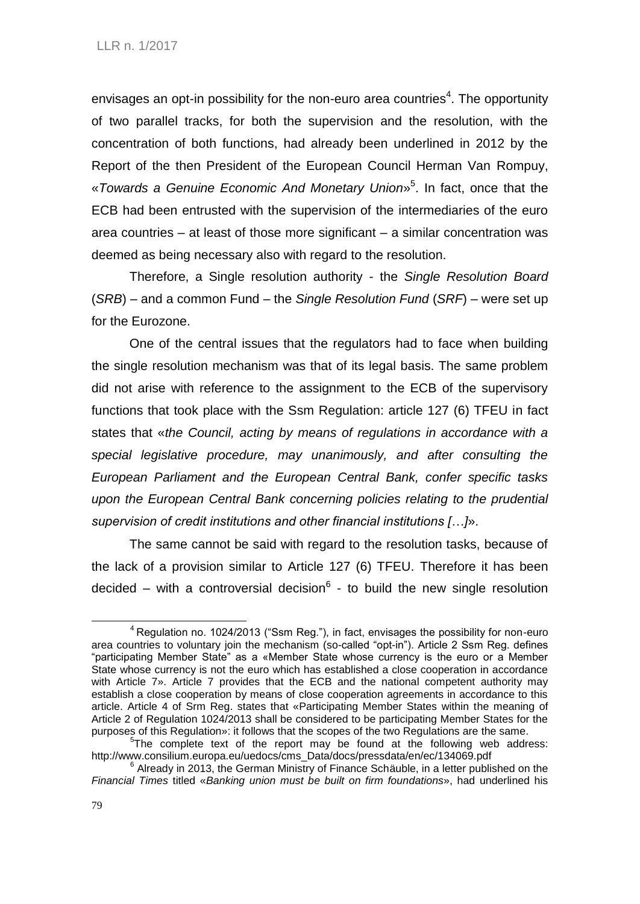envisages an opt-in possibility for the non-euro area countries<sup>4</sup>. The opportunity of two parallel tracks, for both the supervision and the resolution, with the concentration of both functions, had already been underlined in 2012 by the Report of the then President of the European Council Herman Van Rompuy, «*Towards a Genuine Economic And Monetary Union*» 5 . In fact, once that the ECB had been entrusted with the supervision of the intermediaries of the euro area countries – at least of those more significant – a similar concentration was deemed as being necessary also with regard to the resolution.

Therefore, a Single resolution authority - the *Single Resolution Board* (*SRB*) – and a common Fund – the *Single Resolution Fund* (*SRF*) – were set up for the Eurozone.

One of the central issues that the regulators had to face when building the single resolution mechanism was that of its legal basis. The same problem did not arise with reference to the assignment to the ECB of the supervisory functions that took place with the Ssm Regulation: article 127 (6) TFEU in fact states that «*the Council, acting by means of regulations in accordance with a special legislative procedure, may unanimously, and after consulting the European Parliament and the European Central Bank, confer specific tasks upon the European Central Bank concerning policies relating to the prudential supervision of credit institutions and other financial institutions […]*».

The same cannot be said with regard to the resolution tasks, because of the lack of a provision similar to Article 127 (6) TFEU. Therefore it has been decided – with a controversial decision $6$  - to build the new single resolution

1

 $4$  Requlation no. 1024/2013 ("Ssm Reg."), in fact, envisages the possibility for non-euro area countries to voluntary join the mechanism (so-called "opt-in"). Article 2 Ssm Reg. defines "participating Member State" as a «Member State whose currency is the euro or a Member State whose currency is not the euro which has established a close cooperation in accordance with Article 7». Article 7 provides that the ECB and the national competent authority may establish a close cooperation by means of close cooperation agreements in accordance to this article. Article 4 of Srm Reg. states that «Participating Member States within the meaning of Article 2 of Regulation 1024/2013 shall be considered to be participating Member States for the purposes of this Regulation»: it follows that the scopes of the two Regulations are the same.

<sup>&</sup>lt;sup>5</sup>The complete text of the report may be found at the following web address: http://www.consilium.europa.eu/uedocs/cms\_Data/docs/pressdata/en/ec/134069.pdf

 $6$  Already in 2013, the German Ministry of Finance Schäuble, in a letter published on the *Financial Times* titled «*Banking union must be built on firm foundations*», had underlined his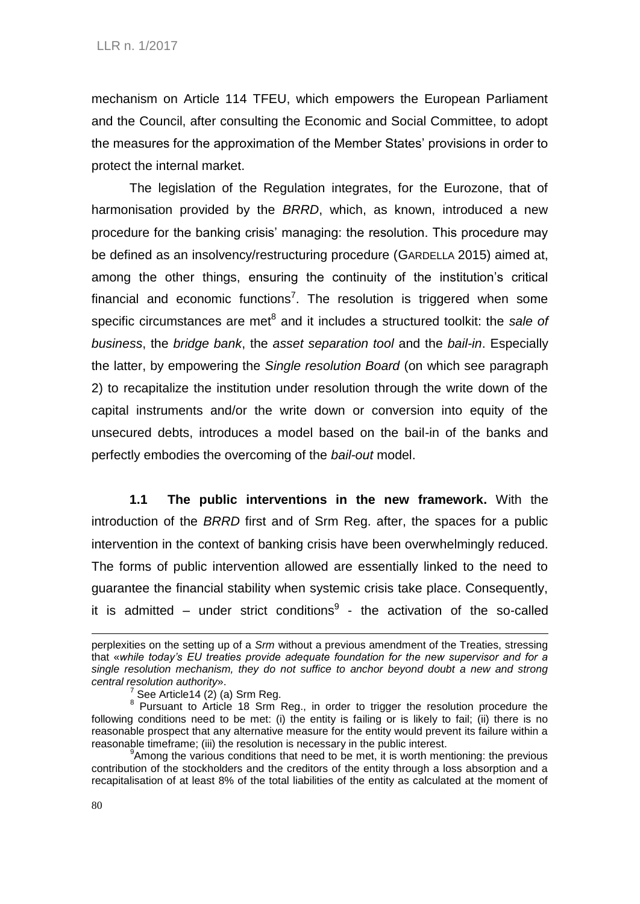mechanism on Article 114 TFEU, which empowers the European Parliament and the Council, after consulting the Economic and Social Committee, to adopt the measures for the approximation of the Member States' provisions in order to protect the internal market.

The legislation of the Regulation integrates, for the Eurozone, that of harmonisation provided by the *BRRD*, which, as known, introduced a new procedure for the banking crisis' managing: the resolution. This procedure may be defined as an insolvency/restructuring procedure (GARDELLA 2015) aimed at, among the other things, ensuring the continuity of the institution's critical financial and economic functions<sup>7</sup>. The resolution is triggered when some specific circumstances are met<sup>8</sup> and it includes a structured toolkit: the sale of *business*, the *bridge bank*, the *asset separation tool* and the *bail-in*. Especially the latter, by empowering the *Single resolution Board* (on which see paragraph 2) to recapitalize the institution under resolution through the write down of the capital instruments and/or the write down or conversion into equity of the unsecured debts, introduces a model based on the bail-in of the banks and perfectly embodies the overcoming of the *bail-out* model.

**1.1 The public interventions in the new framework.** With the introduction of the *BRRD* first and of Srm Reg. after, the spaces for a public intervention in the context of banking crisis have been overwhelmingly reduced. The forms of public intervention allowed are essentially linked to the need to guarantee the financial stability when systemic crisis take place. Consequently, it is admitted – under strict conditions $9$  - the activation of the so-called

perplexities on the setting up of a *Srm* without a previous amendment of the Treaties, stressing that «*while today's EU treaties provide adequate foundation for the new supervisor and for a single resolution mechanism, they do not suffice to anchor beyond doubt a new and strong central resolution authority*».

 $^7$  See Article14 (2) (a) Srm Reg.<br><sup>8</sup> Pursuant to Article 18 Srm Reg., in order to trigger the resolution procedure the following conditions need to be met: (i) the entity is failing or is likely to fail; (ii) there is no reasonable prospect that any alternative measure for the entity would prevent its failure within a reasonable timeframe; (iii) the resolution is necessary in the public interest.

<sup>&</sup>lt;sup>9</sup> Among the various conditions that need to be met, it is worth mentioning: the previous contribution of the stockholders and the creditors of the entity through a loss absorption and a recapitalisation of at least 8% of the total liabilities of the entity as calculated at the moment of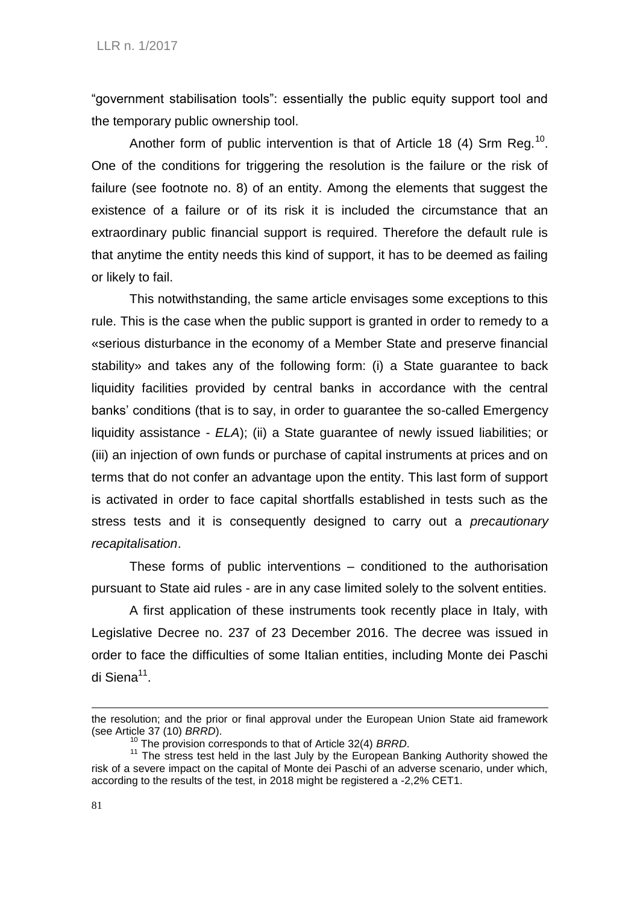"government stabilisation tools": essentially the public equity support tool and the temporary public ownership tool.

Another form of public intervention is that of Article 18 (4) Srm Reg.<sup>10</sup>. One of the conditions for triggering the resolution is the failure or the risk of failure (see footnote no. 8) of an entity. Among the elements that suggest the existence of a failure or of its risk it is included the circumstance that an extraordinary public financial support is required. Therefore the default rule is that anytime the entity needs this kind of support, it has to be deemed as failing or likely to fail.

This notwithstanding, the same article envisages some exceptions to this rule. This is the case when the public support is granted in order to remedy to a «serious disturbance in the economy of a Member State and preserve financial stability» and takes any of the following form: (i) a State guarantee to back liquidity facilities provided by central banks in accordance with the central banks' conditions (that is to say, in order to guarantee the so-called Emergency liquidity assistance - *ELA*); (ii) a State guarantee of newly issued liabilities; or (iii) an injection of own funds or purchase of capital instruments at prices and on terms that do not confer an advantage upon the entity. This last form of support is activated in order to face capital shortfalls established in tests such as the stress tests and it is consequently designed to carry out a *precautionary recapitalisation*.

These forms of public interventions – conditioned to the authorisation pursuant to State aid rules - are in any case limited solely to the solvent entities.

A first application of these instruments took recently place in Italy, with Legislative Decree no. 237 of 23 December 2016. The decree was issued in order to face the difficulties of some Italian entities, including Monte dei Paschi di Siena<sup>11</sup>.

the resolution; and the prior or final approval under the European Union State aid framework (see Article 37 (10) *BRRD*).

<sup>10</sup> The provision corresponds to that of Article 32(4) *BRRD*.

 $11$  The stress test held in the last July by the European Banking Authority showed the risk of a severe impact on the capital of Monte dei Paschi of an adverse scenario, under which, according to the results of the test, in 2018 might be registered a -2,2% CET1.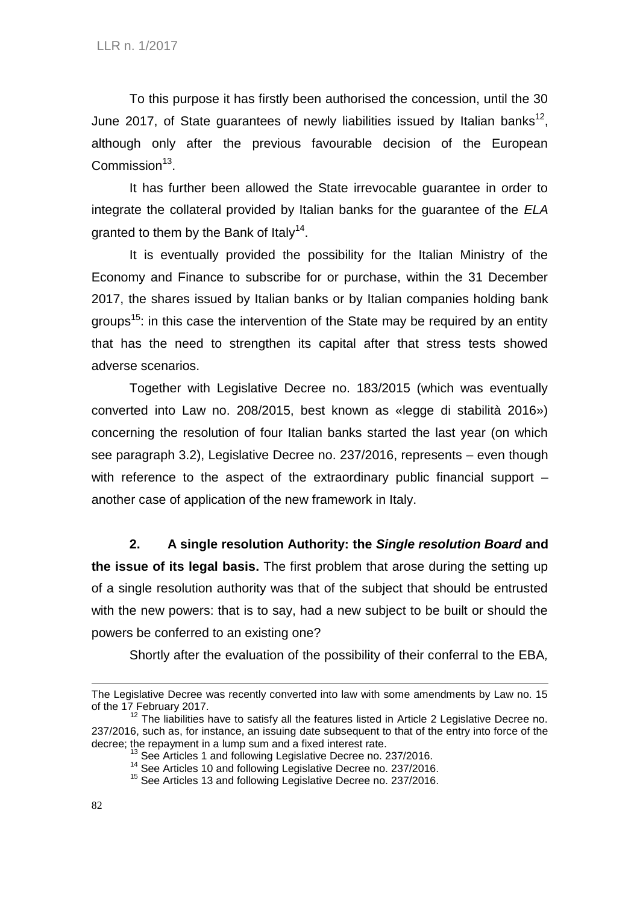To this purpose it has firstly been authorised the concession, until the 30 June 2017, of State guarantees of newly liabilities issued by Italian banks<sup>12</sup>, although only after the previous favourable decision of the European Commission<sup>13</sup>.

It has further been allowed the State irrevocable guarantee in order to integrate the collateral provided by Italian banks for the guarantee of the *ELA* granted to them by the Bank of Italy<sup>14</sup>.

It is eventually provided the possibility for the Italian Ministry of the Economy and Finance to subscribe for or purchase, within the 31 December 2017, the shares issued by Italian banks or by Italian companies holding bank groups<sup>15</sup>: in this case the intervention of the State may be required by an entity that has the need to strengthen its capital after that stress tests showed adverse scenarios.

Together with Legislative Decree no. 183/2015 (which was eventually converted into Law no. 208/2015, best known as «legge di stabilità 2016») concerning the resolution of four Italian banks started the last year (on which see paragraph 3.2), Legislative Decree no. 237/2016, represents – even though with reference to the aspect of the extraordinary public financial support – another case of application of the new framework in Italy.

**2. A single resolution Authority: the** *Single resolution Board* **and the issue of its legal basis.** The first problem that arose during the setting up of a single resolution authority was that of the subject that should be entrusted with the new powers: that is to say, had a new subject to be built or should the powers be conferred to an existing one?

Shortly after the evaluation of the possibility of their conferral to the EBA*,* 

The Legislative Decree was recently converted into law with some amendments by Law no. 15 of the  $17$  February 2017.

The liabilities have to satisfy all the features listed in Article 2 Legislative Decree no. 237/2016, such as, for instance, an issuing date subsequent to that of the entry into force of the decree; the repayment in a lump sum and a fixed interest rate.

See Articles 1 and following Legislative Decree no. 237/2016.

<sup>&</sup>lt;sup>14</sup> See Articles 10 and following Legislative Decree no. 237/2016.

<sup>&</sup>lt;sup>15</sup> See Articles 13 and following Legislative Decree no. 237/2016.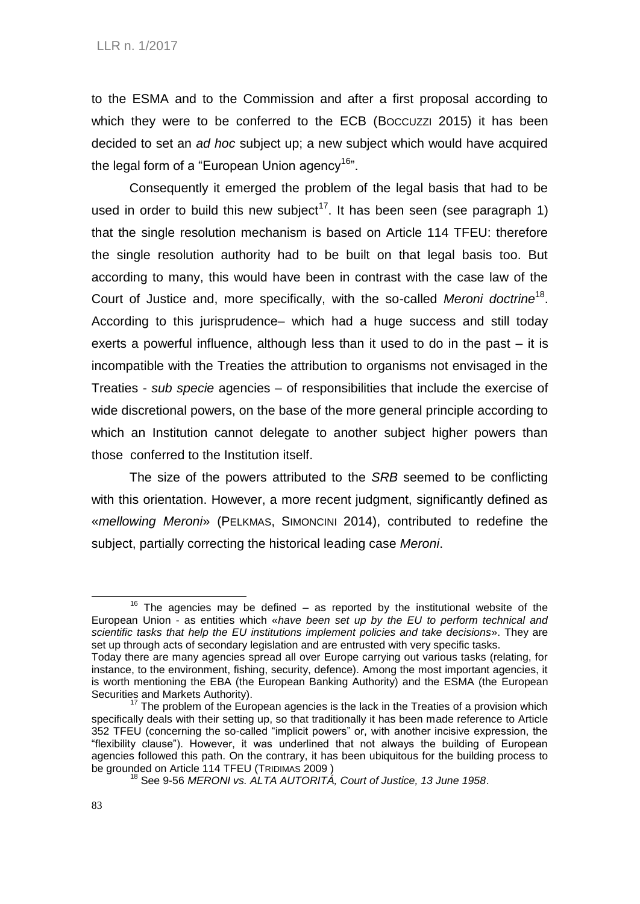to the ESMA and to the Commission and after a first proposal according to which they were to be conferred to the ECB (Boccuzzi 2015) it has been decided to set an *ad hoc* subject up; a new subject which would have acquired the legal form of a "European Union agency<sup>16</sup>".

Consequently it emerged the problem of the legal basis that had to be used in order to build this new subject<sup>17</sup>. It has been seen (see paragraph 1) that the single resolution mechanism is based on Article 114 TFEU: therefore the single resolution authority had to be built on that legal basis too. But according to many, this would have been in contrast with the case law of the Court of Justice and, more specifically, with the so-called *Meroni doctrine*<sup>18</sup> . According to this jurisprudence– which had a huge success and still today exerts a powerful influence, although less than it used to do in the past – it is incompatible with the Treaties the attribution to organisms not envisaged in the Treaties - *sub specie* agencies – of responsibilities that include the exercise of wide discretional powers, on the base of the more general principle according to which an Institution cannot delegate to another subject higher powers than those conferred to the Institution itself.

The size of the powers attributed to the *SRB* seemed to be conflicting with this orientation. However, a more recent judgment, significantly defined as «*mellowing Meroni*» (PELKMAS, SIMONCINI 2014), contributed to redefine the subject, partially correcting the historical leading case *Meroni*.

 $16$  The agencies may be defined – as reported by the institutional website of the European Union - as entities which «*have been set up by the EU to perform technical and scientific tasks that help the EU institutions implement policies and take decisions*». They are set up through acts of secondary legislation and are entrusted with very specific tasks.

Today there are many agencies spread all over Europe carrying out various tasks (relating, for instance, to the environment, fishing, security, defence). Among the most important agencies, it is worth mentioning the EBA (the European Banking Authority) and the ESMA (the [European](https://en.wikipedia.org/wiki/European_Securities_and_Markets_Authority)  [Securities and Markets Authority\)](https://en.wikipedia.org/wiki/European_Securities_and_Markets_Authority).

 $17$  The problem of the European agencies is the lack in the Treaties of a provision which specifically deals with their setting up, so that traditionally it has been made reference to Article 352 TFEU (concerning the so-called "implicit powers" or, with another incisive expression, the "flexibility clause"). However, it was underlined that not always the building of European agencies followed this path. On the contrary, it has been ubiquitous for the building process to be grounded on Article 114 TFEU (TRIDIMAS 2009 )

<sup>18</sup> See 9-56 *MERONI vs. ALTA AUTORITÁ, Court of Justice, 13 June 1958*.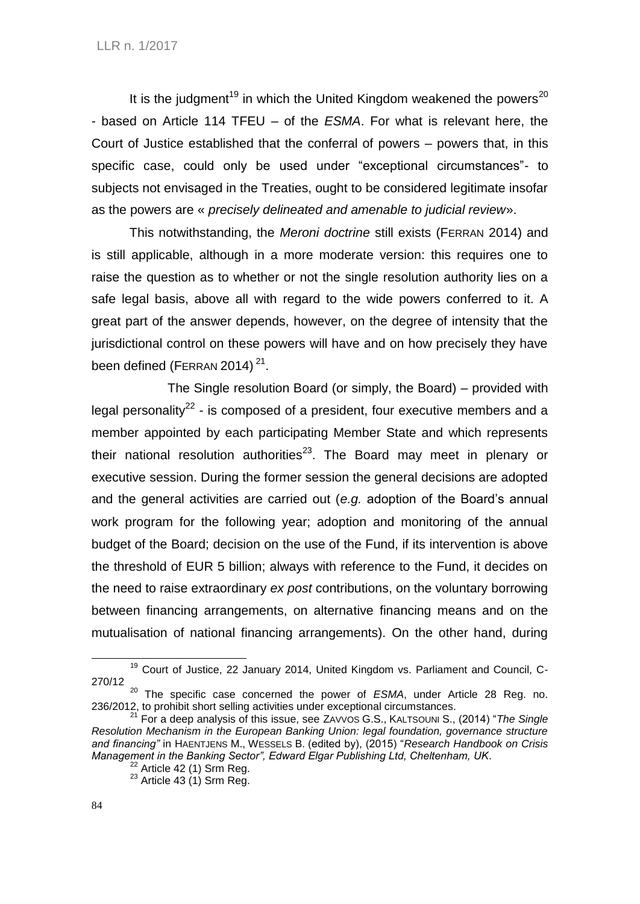It is the judgment<sup>19</sup> in which the United Kingdom weakened the powers<sup>20</sup> - based on Article 114 TFEU – of the *ESMA*. For what is relevant here, the Court of Justice established that the conferral of powers – powers that, in this specific case, could only be used under "exceptional circumstances"- to subjects not envisaged in the Treaties, ought to be considered legitimate insofar as the powers are « *precisely delineated and amenable to judicial review*».

This notwithstanding, the *Meroni doctrine* still exists (FERRAN 2014) and is still applicable, although in a more moderate version: this requires one to raise the question as to whether or not the single resolution authority lies on a safe legal basis, above all with regard to the wide powers conferred to it. A great part of the answer depends, however, on the degree of intensity that the jurisdictional control on these powers will have and on how precisely they have been defined (FERRAN 2014) $21$ .

The Single resolution Board (or simply, the Board) – provided with legal personality<sup>22</sup> - is composed of a president, four executive members and a member appointed by each participating Member State and which represents their national resolution authorities<sup>23</sup>. The Board may meet in plenary or executive session. During the former session the general decisions are adopted and the general activities are carried out (*e.g.* adoption of the Board's annual work program for the following year; adoption and monitoring of the annual budget of the Board; decision on the use of the Fund, if its intervention is above the threshold of EUR 5 billion; always with reference to the Fund, it decides on the need to raise extraordinary *ex post* contributions, on the voluntary borrowing between financing arrangements, on alternative financing means and on the mutualisation of national financing arrangements). On the other hand, during

<sup>&</sup>lt;sup>19</sup> Court of Justice, 22 January 2014, United Kingdom vs. Parliament and Council, C-270/12

<sup>20</sup> The specific case concerned the power of *ESMA*, under Article 28 Reg. no. 236/2012, to prohibit short selling activities under exceptional circumstances.

<sup>21</sup> For a deep analysis of this issue, see ZAVVOS G.S., KALTSOUNI S., (2014) "*The Single Resolution Mechanism in the European Banking Union: legal foundation, governance structure and financing"* in HAENTJENS M., WESSELS B. (edited by), (2015) "*Research Handbook on Crisis Management in the Banking Sector", Edward Elgar Publishing Ltd, Cheltenham, UK*.

 $22$  Article 42 (1) Srm Reg.

 $23$  Article 43 (1) Srm Reg.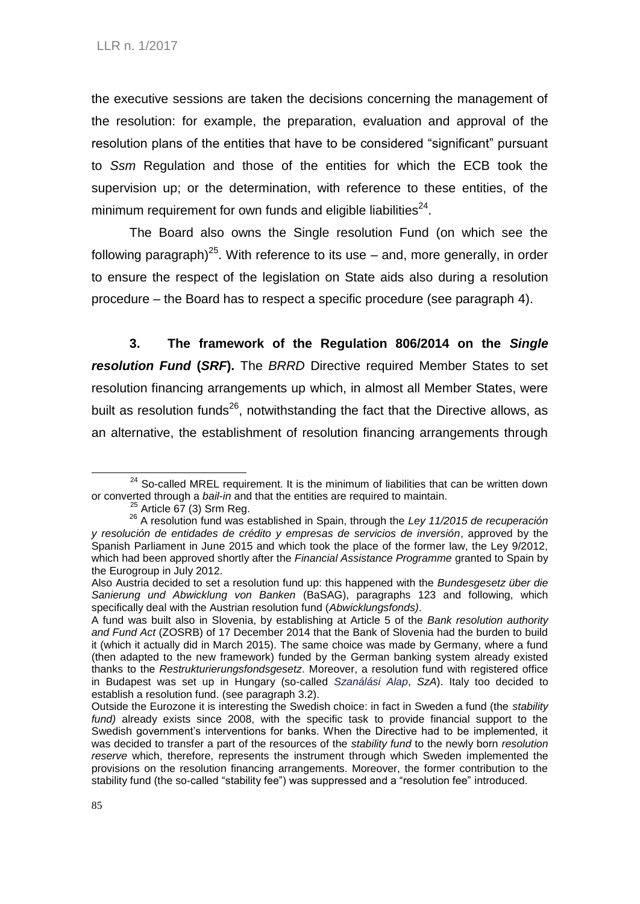the executive sessions are taken the decisions concerning the management of the resolution: for example, the preparation, evaluation and approval of the resolution plans of the entities that have to be considered "significant" pursuant to *Ssm* Regulation and those of the entities for which the ECB took the supervision up; or the determination, with reference to these entities, of the minimum requirement for own funds and eligible liabilities $^{24}$ .

The Board also owns the Single resolution Fund (on which see the following paragraph)<sup>25</sup>. With reference to its use  $-$  and, more generally, in order to ensure the respect of the legislation on State aids also during a resolution procedure – the Board has to respect a specific procedure (see paragraph 4).

**3. The framework of the Regulation 806/2014 on the** *Single resolution Fund* **(***SRF***).** The *BRRD* Directive required Member States to set resolution financing arrangements up which, in almost all Member States, were built as resolution funds<sup>26</sup>, notwithstanding the fact that the Directive allows, as an alternative, the establishment of resolution financing arrangements through

 $24$  So-called MREL requirement. It is the minimum of liabilities that can be written down or converted through a *bail-in* and that the entities are required to maintain.

 $\alpha$ <sup>2</sup> Article 67 (3) Srm Reg.

<sup>26</sup> A resolution fund was established in Spain, through the *Ley 11/2015 de recuperación y resolución de entidades de crédito y empresas de servicios de inversión*, approved by the Spanish Parliament in June 2015 and which took the place of the former law, the Ley 9/2012, which had been approved shortly after the *Financial Assistance Programme* granted to Spain by the Eurogroup in July 2012.

Also Austria decided to set a resolution fund up: this happened with the *Bundesgesetz über die Sanierung und Abwicklung von Banken* (BaSAG), paragraphs 123 and following, which specifically deal with the Austrian resolution fund (*Abwicklungsfonds)*.

A fund was built also in Slovenia, by establishing at Article 5 of the *Bank resolution authority and Fund Act* (ZOSRB) of 17 December 2014 that the Bank of Slovenia had the burden to build it (which it actually did in March 2015). The same choice was made by Germany, where a fund (then adapted to the new framework) funded by the German banking system already existed thanks to the *Restrukturierungsfondsgesetz*. Moreover, a resolution fund with registered office in Budapest was set up in Hungary (so-called *Szanálási Alap*, *SzA*). Italy too decided to establish a resolution fund. (see paragraph 3.2).

Outside the Eurozone it is interesting the Swedish choice: in fact in Sweden a fund (the *stability*  fund) already exists since 2008, with the specific task to provide financial support to the Swedish government's interventions for banks. When the Directive had to be implemented, it was decided to transfer a part of the resources of the *stability fund* to the newly born *resolution reserve* which, therefore, represents the instrument through which Sweden implemented the provisions on the resolution financing arrangements. Moreover, the former contribution to the stability fund (the so-called "stability fee") was suppressed and a "resolution fee" introduced.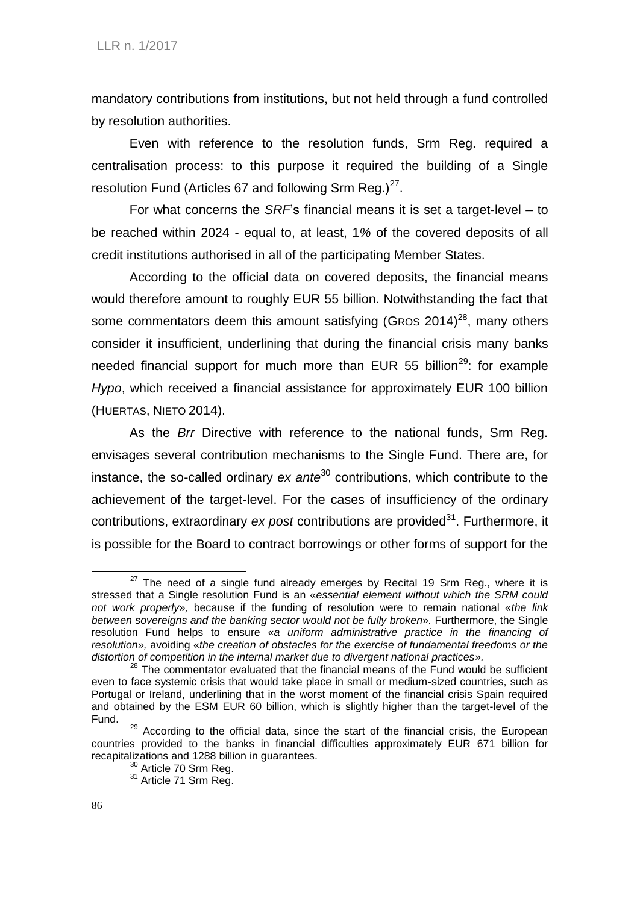mandatory contributions from institutions, but not held through a fund controlled by resolution authorities.

Even with reference to the resolution funds, Srm Reg. required a centralisation process: to this purpose it required the building of a Single resolution Fund (Articles 67 and following Srm Reg.) $27$ .

For what concerns the *SRF*'s financial means it is set a target-level – to be reached within 2024 - equal to, at least, 1*%* of the covered deposits of all credit institutions authorised in all of the participating Member States.

According to the official data on covered deposits, the financial means would therefore amount to roughly EUR 55 billion. Notwithstanding the fact that some commentators deem this amount satisfying (GROS 2014)<sup>28</sup>, many others consider it insufficient, underlining that during the financial crisis many banks needed financial support for much more than EUR 55 billion<sup>29</sup>: for example *Hypo*, which received a financial assistance for approximately EUR 100 billion (HUERTAS, NIETO 2014).

As the *Brr* Directive with reference to the national funds, Srm Reg. envisages several contribution mechanisms to the Single Fund. There are, for instance, the so-called ordinary *ex ante*<sup>30</sup> contributions, which contribute to the achievement of the target-level. For the cases of insufficiency of the ordinary contributions, extraordinary *ex post* contributions are provided<sup>31</sup>. Furthermore, it is possible for the Board to contract borrowings or other forms of support for the

 $27$  The need of a single fund already emerges by Recital 19 Srm Reg., where it is stressed that a Single resolution Fund is an «*essential element without which the SRM could not work properly*»*,* because if the funding of resolution were to remain national «*the link between sovereigns and the banking sector would not be fully broken*»*.* Furthermore, the Single resolution Fund helps to ensure «*a uniform administrative practice in the financing of resolution*»*,* avoiding «*the creation of obstacles for the exercise of fundamental freedoms or the distortion of competition in the internal market due to divergent national practices*»*.*

<sup>&</sup>lt;sup>28</sup> The commentator evaluated that the financial means of the Fund would be sufficient even to face systemic crisis that would take place in small or medium-sized countries, such as Portugal or Ireland, underlining that in the worst moment of the financial crisis Spain required and obtained by the ESM EUR 60 billion, which is slightly higher than the target-level of the Fund.

<sup>&</sup>lt;sup>29</sup> According to the official data, since the start of the financial crisis, the European countries provided to the banks in financial difficulties approximately EUR 671 billion for recapitalizations and 1288 billion in guarantees.

<sup>&</sup>lt;sup>30</sup> Article 70 Srm Reg.

<sup>31</sup> Article 71 Srm Reg.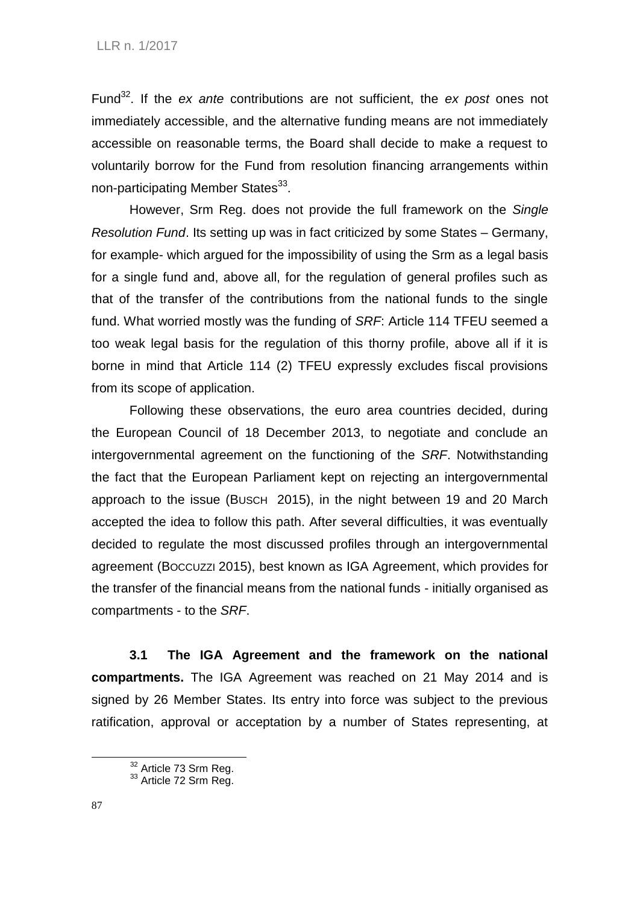Fund<sup>32</sup>. If the *ex ante* contributions are not sufficient, the *ex post* ones not immediately accessible, and the alternative funding means are not immediately accessible on reasonable terms, the Board shall decide to make a request to voluntarily borrow for the Fund from resolution financing arrangements within non-participating Member States<sup>33</sup>.

However, Srm Reg. does not provide the full framework on the *Single Resolution Fund*. Its setting up was in fact criticized by some States – Germany, for example- which argued for the impossibility of using the Srm as a legal basis for a single fund and, above all, for the regulation of general profiles such as that of the transfer of the contributions from the national funds to the single fund. What worried mostly was the funding of *SRF*: Article 114 TFEU seemed a too weak legal basis for the regulation of this thorny profile, above all if it is borne in mind that Article 114 (2) TFEU expressly excludes fiscal provisions from its scope of application.

Following these observations, the euro area countries decided, during the European Council of 18 December 2013, to negotiate and conclude an intergovernmental agreement on the functioning of the *SRF*. Notwithstanding the fact that the European Parliament kept on rejecting an intergovernmental approach to the issue (BUSCH 2015), in the night between 19 and 20 March accepted the idea to follow this path. After several difficulties, it was eventually decided to regulate the most discussed profiles through an intergovernmental agreement (BOCCUZZI 2015), best known as IGA Agreement, which provides for the transfer of the financial means from the national funds - initially organised as compartments - to the *SRF*.

**3.1 The IGA Agreement and the framework on the national compartments.** The IGA Agreement was reached on 21 May 2014 and is signed by 26 Member States. Its entry into force was subject to the previous ratification, approval or acceptation by a number of States representing, at

 $32$  Article 73 Srm Reg.

 $33$  Article 72 Srm Reg.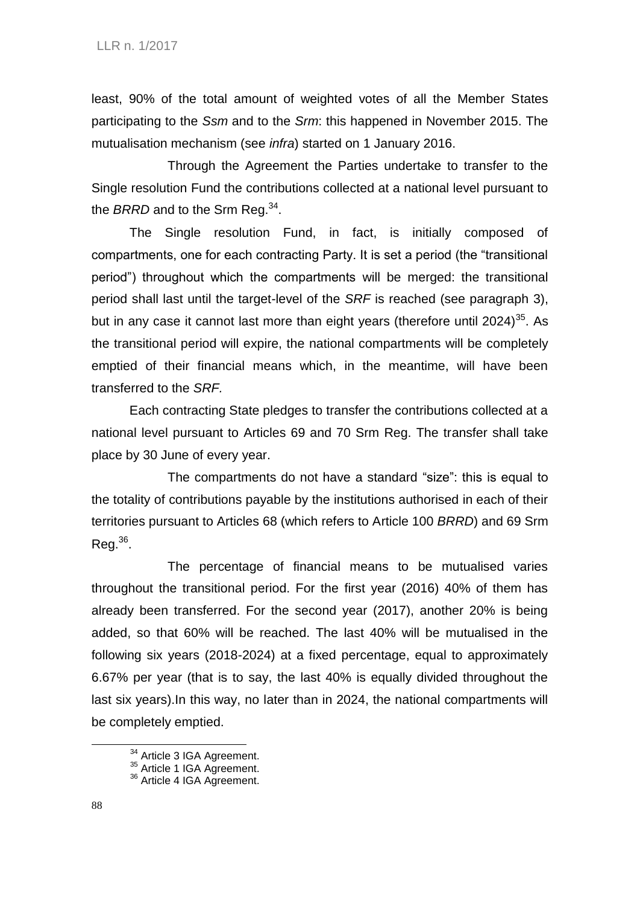least, 90% of the total amount of weighted votes of all the Member States participating to the *Ssm* and to the *Srm*: this happened in November 2015. The mutualisation mechanism (see *infra*) started on 1 January 2016.

Through the Agreement the Parties undertake to transfer to the Single resolution Fund the contributions collected at a national level pursuant to the *BRRD* and to the Srm Reg.<sup>34</sup>.

The Single resolution Fund, in fact, is initially composed of compartments, one for each contracting Party. It is set a period (the "transitional period") throughout which the compartments will be merged: the transitional period shall last until the target-level of the *SRF* is reached (see paragraph 3), but in any case it cannot last more than eight years (therefore until 2024)<sup>35</sup>. As the transitional period will expire, the national compartments will be completely emptied of their financial means which, in the meantime, will have been transferred to the *SRF.*

Each contracting State pledges to transfer the contributions collected at a national level pursuant to Articles 69 and 70 Srm Reg. The transfer shall take place by 30 June of every year.

The compartments do not have a standard "size": this is equal to the totality of contributions payable by the institutions authorised in each of their territories pursuant to Articles 68 (which refers to Article 100 *BRRD*) and 69 Srm  $Reg.<sup>36</sup>$ .

The percentage of financial means to be mutualised varies throughout the transitional period. For the first year (2016) 40% of them has already been transferred. For the second year (2017), another 20% is being added, so that 60% will be reached. The last 40% will be mutualised in the following six years (2018-2024) at a fixed percentage, equal to approximately 6.67% per year (that is to say, the last 40% is equally divided throughout the last six years).In this way, no later than in 2024, the national compartments will be completely emptied.

<sup>&</sup>lt;sup>34</sup> Article 3 IGA Agreement.

<sup>&</sup>lt;sup>35</sup> Article 1 IGA Agreement.

<sup>&</sup>lt;sup>36</sup> Article 4 IGA Agreement.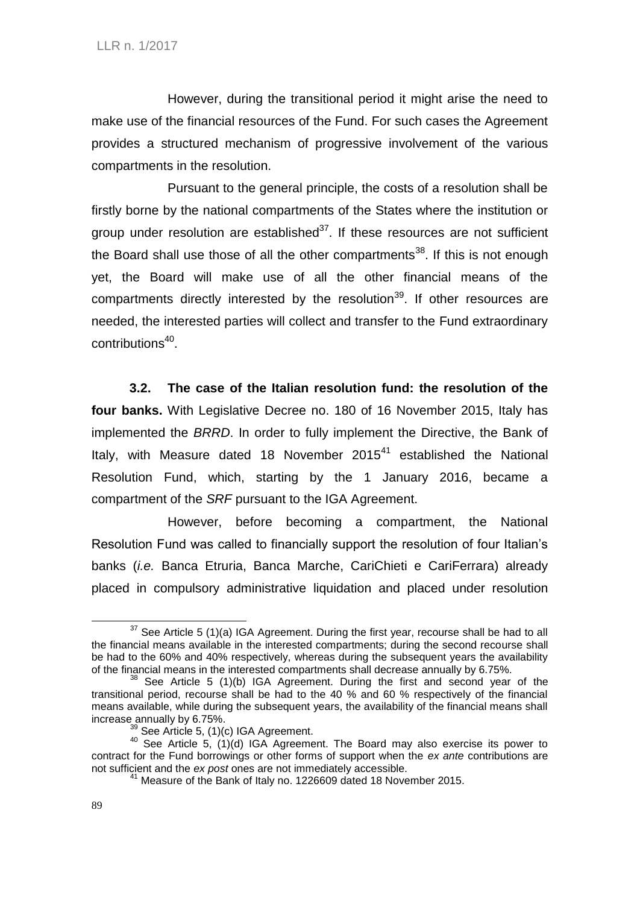However, during the transitional period it might arise the need to make use of the financial resources of the Fund. For such cases the Agreement provides a structured mechanism of progressive involvement of the various compartments in the resolution.

Pursuant to the general principle, the costs of a resolution shall be firstly borne by the national compartments of the States where the institution or group under resolution are established $37$ . If these resources are not sufficient the Board shall use those of all the other compartments<sup>38</sup>. If this is not enough yet, the Board will make use of all the other financial means of the compartments directly interested by the resolution<sup>39</sup>. If other resources are needed, the interested parties will collect and transfer to the Fund extraordinary contributions<sup>40</sup>.

**3.2. The case of the Italian resolution fund: the resolution of the four banks.** With Legislative Decree no. 180 of 16 November 2015, Italy has implemented the *BRRD*. In order to fully implement the Directive, the Bank of Italy, with Measure dated 18 November  $2015<sup>41</sup>$  established the National Resolution Fund, which, starting by the 1 January 2016, became a compartment of the *SRF* pursuant to the IGA Agreement.

However, before becoming a compartment, the National Resolution Fund was called to financially support the resolution of four Italian's banks (*i.e.* Banca Etruria, Banca Marche, CariChieti e CariFerrara) already placed in compulsory administrative liquidation and placed under resolution

1

 $37$  See Article 5 (1)(a) IGA Agreement. During the first year, recourse shall be had to all the financial means available in the interested compartments; during the second recourse shall be had to the 60% and 40% respectively, whereas during the subsequent years the availability of the financial means in the interested compartments shall decrease annually by 6.75%.

<sup>&</sup>lt;sup>38</sup> See Article 5 (1)(b) IGA Agreement. During the first and second year of the transitional period, recourse shall be had to the 40 % and 60 % respectively of the financial means available, while during the subsequent years, the availability of the financial means shall increase annually by 6.75%.

 $39$  See Article 5,  $(1)(c)$  IGA Agreement.

 $40$  See Article 5, (1)(d) IGA Agreement. The Board may also exercise its power to contract for the Fund borrowings or other forms of support when the *ex ante* contributions are not sufficient and the *ex post* ones are not immediately accessible.

<sup>&</sup>lt;sup>41</sup> Measure of the Bank of Italy no. 1226609 dated 18 November 2015.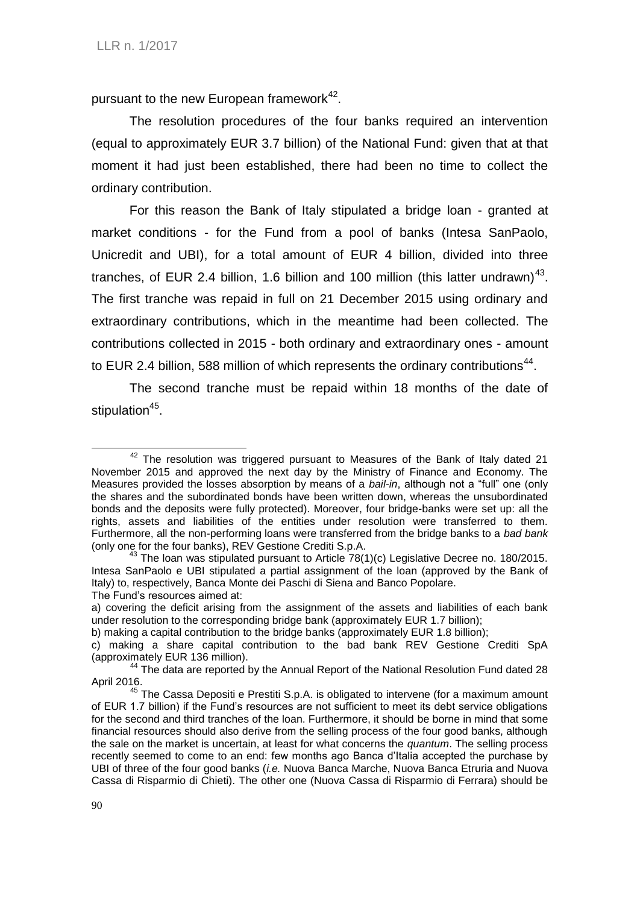pursuant to the new European framework<sup>42</sup>.

The resolution procedures of the four banks required an intervention (equal to approximately EUR 3.7 billion) of the National Fund: given that at that moment it had just been established, there had been no time to collect the ordinary contribution.

For this reason the Bank of Italy stipulated a bridge loan - granted at market conditions - for the Fund from a pool of banks (Intesa SanPaolo, Unicredit and UBI), for a total amount of EUR 4 billion, divided into three tranches, of EUR 2.4 billion, 1.6 billion and 100 million (this latter undrawn)<sup>43</sup>. The first tranche was repaid in full on 21 December 2015 using ordinary and extraordinary contributions, which in the meantime had been collected. The contributions collected in 2015 - both ordinary and extraordinary ones - amount to EUR 2.4 billion, 588 million of which represents the ordinary contributions<sup>44</sup>.

The second tranche must be repaid within 18 months of the date of stipulation<sup>45</sup>.

<sup>-</sup> $42$  The resolution was triggered pursuant to Measures of the Bank of Italy dated 21 November 2015 and approved the next day by the Ministry of Finance and Economy. The Measures provided the losses absorption by means of a *bail-in*, although not a "full" one (only the shares and the subordinated bonds have been written down, whereas the unsubordinated bonds and the deposits were fully protected). Moreover, four bridge-banks were set up: all the rights, assets and liabilities of the entities under resolution were transferred to them. Furthermore, all the non-performing loans were transferred from the bridge banks to a *bad bank* (only one for the four banks), REV Gestione Crediti S.p.A.

 $^{43}$  The loan was stipulated pursuant to Article 78(1)(c) Legislative Decree no. 180/2015. Intesa SanPaolo e UBI stipulated a partial assignment of the loan (approved by the Bank of Italy) to, respectively, Banca Monte dei Paschi di Siena and Banco Popolare. The Fund's resources aimed at:

a) covering the deficit arising from the assignment of the assets and liabilities of each bank under resolution to the corresponding bridge bank (approximately EUR 1.7 billion);

b) making a capital contribution to the bridge banks (approximately EUR 1.8 billion);

c) making a share capital contribution to the bad bank REV Gestione Crediti SpA (approximately EUR 136 million).

<sup>44</sup> The data are reported by the Annual Report of the National Resolution Fund dated 28 April 2016.

 $45$  The Cassa Depositi e Prestiti S.p.A. is obligated to intervene (for a maximum amount of EUR 1.7 billion) if the Fund's resources are not sufficient to meet its debt service obligations for the second and third tranches of the loan. Furthermore, it should be borne in mind that some financial resources should also derive from the selling process of the four good banks, although the sale on the market is uncertain, at least for what concerns the *quantum*. The selling process recently seemed to come to an end: few months ago Banca d'Italia accepted the purchase by UBI of three of the four good banks (*i.e.* Nuova Banca Marche, Nuova Banca Etruria and Nuova Cassa di Risparmio di Chieti). The other one (Nuova Cassa di Risparmio di Ferrara) should be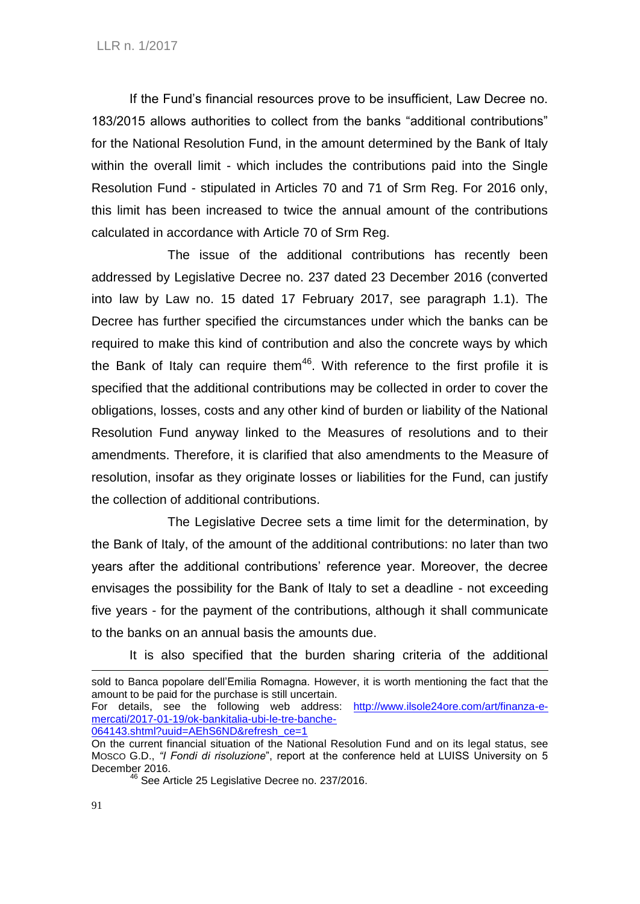If the Fund's financial resources prove to be insufficient, Law Decree no. 183/2015 allows authorities to collect from the banks "additional contributions" for the National Resolution Fund, in the amount determined by the Bank of Italy within the overall limit - which includes the contributions paid into the Single Resolution Fund - stipulated in Articles 70 and 71 of Srm Reg. For 2016 only, this limit has been increased to twice the annual amount of the contributions calculated in accordance with Article 70 of Srm Reg.

The issue of the additional contributions has recently been addressed by Legislative Decree no. 237 dated 23 December 2016 (converted into law by Law no. 15 dated 17 February 2017, see paragraph 1.1). The Decree has further specified the circumstances under which the banks can be required to make this kind of contribution and also the concrete ways by which the Bank of Italy can require them<sup>46</sup>. With reference to the first profile it is specified that the additional contributions may be collected in order to cover the obligations, losses, costs and any other kind of burden or liability of the National Resolution Fund anyway linked to the Measures of resolutions and to their amendments. Therefore, it is clarified that also amendments to the Measure of resolution, insofar as they originate losses or liabilities for the Fund, can justify the collection of additional contributions.

The Legislative Decree sets a time limit for the determination, by the Bank of Italy, of the amount of the additional contributions: no later than two years after the additional contributions' reference year. Moreover, the decree envisages the possibility for the Bank of Italy to set a deadline - not exceeding five years - for the payment of the contributions, although it shall communicate to the banks on an annual basis the amounts due.

It is also specified that the burden sharing criteria of the additional

sold to Banca popolare dell'Emilia Romagna. However, it is worth mentioning the fact that the amount to be paid for the purchase is still uncertain.

For details, see the following web address: [http://www.ilsole24ore.com/art/finanza-e](http://www.ilsole24ore.com/art/finanza-e-mercati/2017-01-19/ok-bankitalia-ubi-le-tre-banche-064143.shtml?uuid=AEhS6ND&refresh_ce=1)[mercati/2017-01-19/ok-bankitalia-ubi-le-tre-banche-](http://www.ilsole24ore.com/art/finanza-e-mercati/2017-01-19/ok-bankitalia-ubi-le-tre-banche-064143.shtml?uuid=AEhS6ND&refresh_ce=1)[064143.shtml?uuid=AEhS6ND&refresh\\_ce=1](http://www.ilsole24ore.com/art/finanza-e-mercati/2017-01-19/ok-bankitalia-ubi-le-tre-banche-064143.shtml?uuid=AEhS6ND&refresh_ce=1)

On the current financial situation of the National Resolution Fund and on its legal status, see MOSCO G.D., *"I Fondi di risoluzione*", report at the conference held at LUISS University on 5 December 2016.

 $^{\circ}$  See Article 25 Legislative Decree no. 237/2016.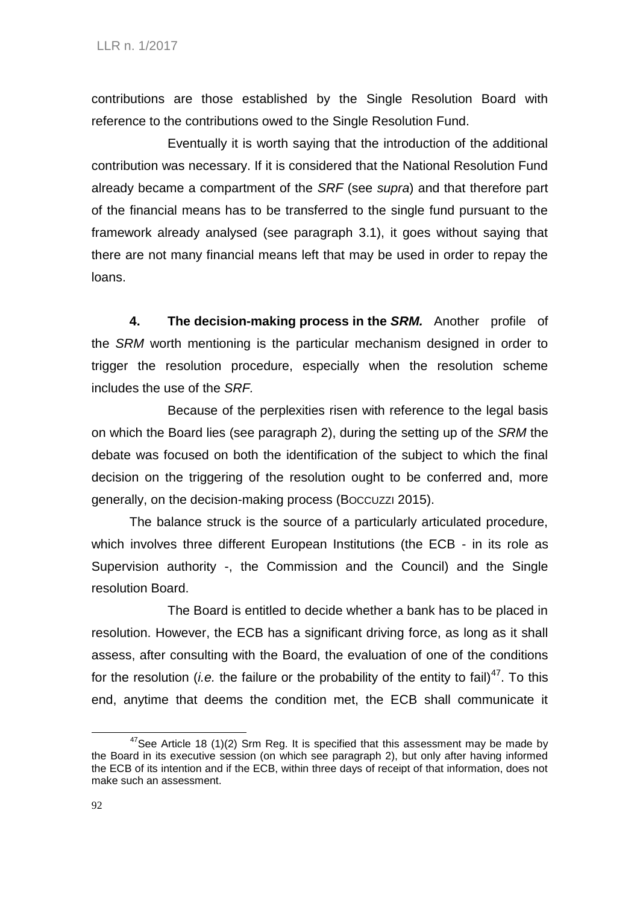contributions are those established by the Single Resolution Board with reference to the contributions owed to the Single Resolution Fund.

Eventually it is worth saying that the introduction of the additional contribution was necessary. If it is considered that the National Resolution Fund already became a compartment of the *SRF* (see *supra*) and that therefore part of the financial means has to be transferred to the single fund pursuant to the framework already analysed (see paragraph 3.1), it goes without saying that there are not many financial means left that may be used in order to repay the loans.

**4. The decision-making process in the** *SRM.* Another profile of the *SRM* worth mentioning is the particular mechanism designed in order to trigger the resolution procedure, especially when the resolution scheme includes the use of the *SRF.*

Because of the perplexities risen with reference to the legal basis on which the Board lies (see paragraph 2), during the setting up of the *SRM* the debate was focused on both the identification of the subject to which the final decision on the triggering of the resolution ought to be conferred and, more generally, on the decision-making process (BOCCUZZI 2015).

The balance struck is the source of a particularly articulated procedure, which involves three different European Institutions (the ECB - in its role as Supervision authority -, the Commission and the Council) and the Single resolution Board.

The Board is entitled to decide whether a bank has to be placed in resolution. However, the ECB has a significant driving force, as long as it shall assess, after consulting with the Board, the evaluation of one of the conditions for the resolution *(i.e.* the failure or the probability of the entity to fail)<sup>47</sup>. To this end, anytime that deems the condition met, the ECB shall communicate it

 $47$ See Article 18 (1)(2) Srm Reg. It is specified that this assessment may be made by the Board in its executive session (on which see paragraph 2), but only after having informed the ECB of its intention and if the ECB, within three days of receipt of that information, does not make such an assessment.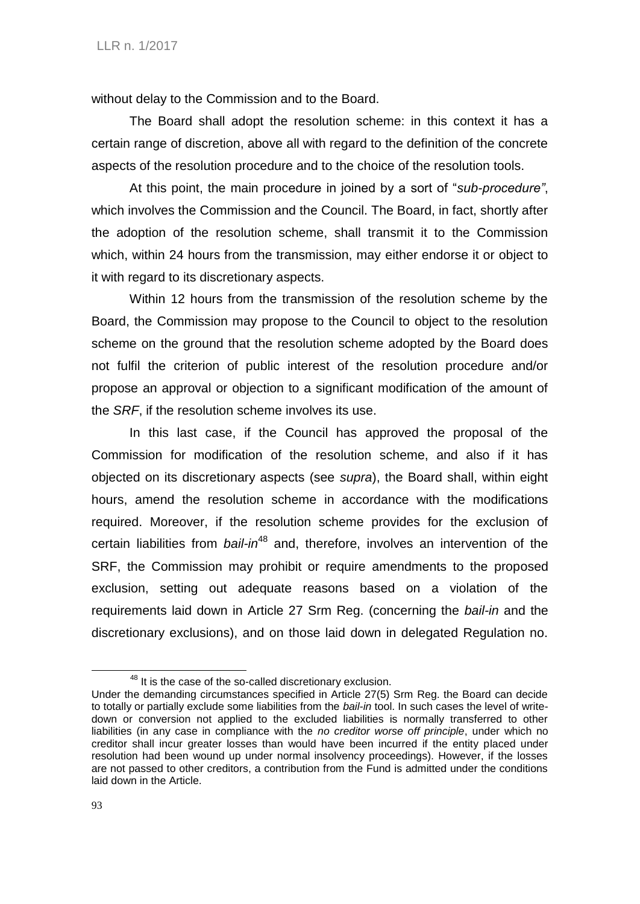without delay to the Commission and to the Board.

The Board shall adopt the resolution scheme: in this context it has a certain range of discretion, above all with regard to the definition of the concrete aspects of the resolution procedure and to the choice of the resolution tools.

At this point, the main procedure in joined by a sort of "*sub-procedure"*, which involves the Commission and the Council. The Board, in fact, shortly after the adoption of the resolution scheme, shall transmit it to the Commission which, within 24 hours from the transmission, may either endorse it or object to it with regard to its discretionary aspects.

Within 12 hours from the transmission of the resolution scheme by the Board, the Commission may propose to the Council to object to the resolution scheme on the ground that the resolution scheme adopted by the Board does not fulfil the criterion of public interest of the resolution procedure and/or propose an approval or objection to a significant modification of the amount of the *SRF*, if the resolution scheme involves its use.

In this last case, if the Council has approved the proposal of the Commission for modification of the resolution scheme, and also if it has objected on its discretionary aspects (see *supra*), the Board shall, within eight hours, amend the resolution scheme in accordance with the modifications required. Moreover, if the resolution scheme provides for the exclusion of certain liabilities from *bail-in*<sup>48</sup> and, therefore, involves an intervention of the SRF, the Commission may prohibit or require amendments to the proposed exclusion, setting out adequate reasons based on a violation of the requirements laid down in Article 27 Srm Reg. (concerning the *bail-in* and the discretionary exclusions), and on those laid down in delegated Regulation no.

<sup>&</sup>lt;sup>48</sup> It is the case of the so-called discretionary exclusion.

Under the demanding circumstances specified in Article 27(5) Srm Reg. the Board can decide to totally or partially exclude some liabilities from the *bail-in* tool. In such cases the level of writedown or conversion not applied to the excluded liabilities is normally transferred to other liabilities (in any case in compliance with the *no creditor worse off principle*, under which no creditor shall incur greater losses than would have been incurred if the entity placed under resolution had been wound up under normal insolvency proceedings). However, if the losses are not passed to other creditors, a contribution from the Fund is admitted under the conditions laid down in the Article.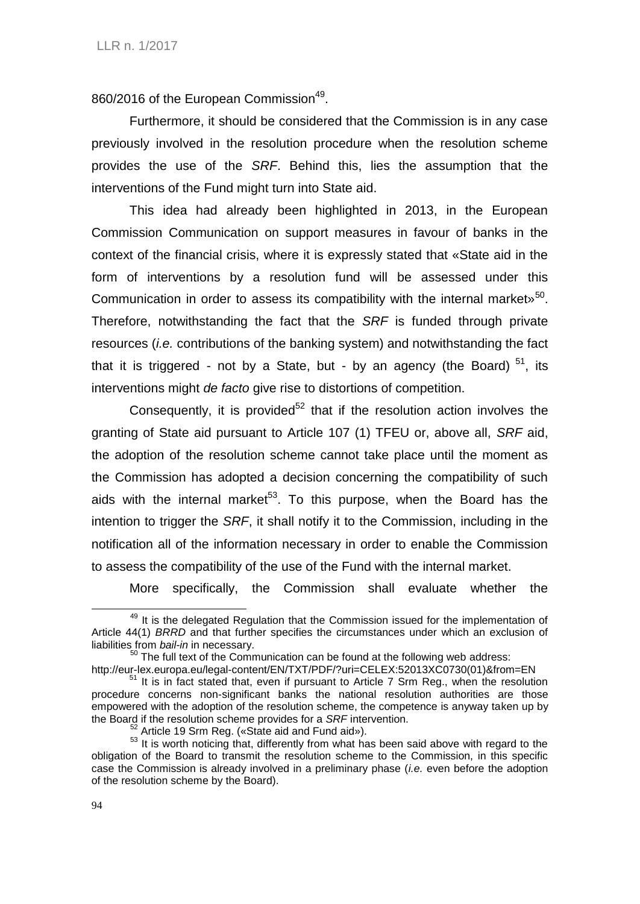860/2016 of the European Commission<sup>49</sup>.

Furthermore, it should be considered that the Commission is in any case previously involved in the resolution procedure when the resolution scheme provides the use of the *SRF*. Behind this, lies the assumption that the interventions of the Fund might turn into State aid.

This idea had already been highlighted in 2013, in the European Commission Communication on support measures in favour of banks in the context of the financial crisis, where it is expressly stated that «State aid in the form of interventions by a resolution fund will be assessed under this Communication in order to assess its compatibility with the internal market»<sup>50</sup>. Therefore, notwithstanding the fact that the *SRF* is funded through private resources (*i.e.* contributions of the banking system) and notwithstanding the fact that it is triggered - not by a State, but - by an agency (the Board)  $51$ , its interventions might *de facto* give rise to distortions of competition.

Consequently, it is provided<sup>52</sup> that if the resolution action involves the granting of State aid pursuant to Article 107 (1) TFEU or, above all, *SRF* aid, the adoption of the resolution scheme cannot take place until the moment as the Commission has adopted a decision concerning the compatibility of such aids with the internal market<sup>53</sup>. To this purpose, when the Board has the intention to trigger the *SRF*, it shall notify it to the Commission, including in the notification all of the information necessary in order to enable the Commission to assess the compatibility of the use of the Fund with the internal market.

More specifically, the Commission shall evaluate whether the

<sup>&</sup>lt;sup>49</sup> It is the delegated Regulation that the Commission issued for the implementation of Article 44(1) *BRRD* and that further specifies the circumstances under which an exclusion of liabilities from *bail-in* in necessary.

<sup>50</sup> The full text of the Communication can be found at the following web address:

http://eur-lex.europa.eu/legal-content/EN/TXT/PDF/?uri=CELEX:52013XC0730(01)&from=EN <sup>51</sup> It is in fact stated that, even if pursuant to Article 7 Srm Reg., when the resolution procedure concerns non-significant banks the national resolution authorities are those empowered with the adoption of the resolution scheme, the competence is anyway taken up by the Board if the resolution scheme provides for a *SRF* intervention.

 $52$  Article 19 Srm Reg. («State aid and Fund aid»).

<sup>&</sup>lt;sup>53</sup> It is worth noticing that, differently from what has been said above with regard to the obligation of the Board to transmit the resolution scheme to the Commission, in this specific case the Commission is already involved in a preliminary phase (*i.e.* even before the adoption of the resolution scheme by the Board).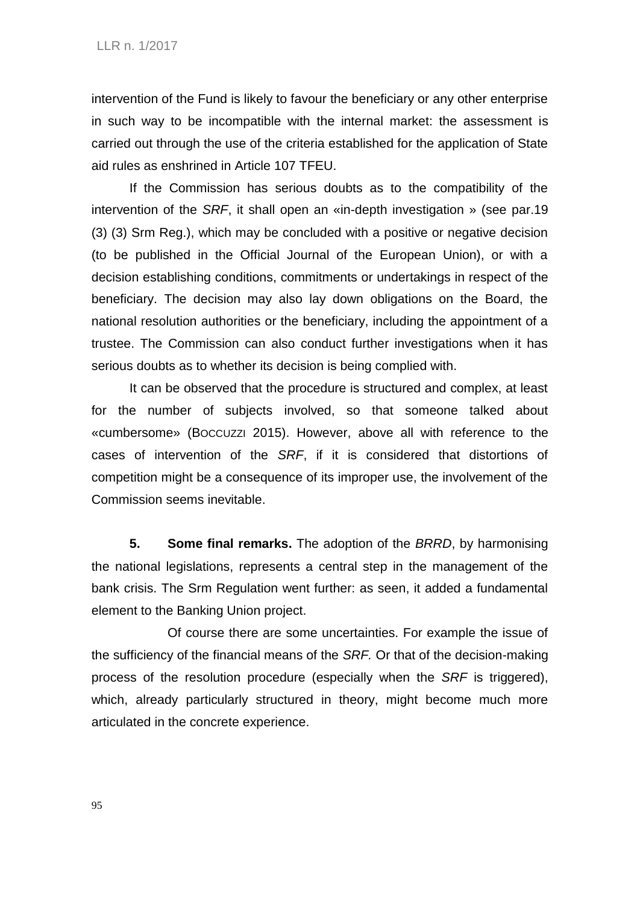intervention of the Fund is likely to favour the beneficiary or any other enterprise in such way to be incompatible with the internal market: the assessment is carried out through the use of the criteria established for the application of State aid rules as enshrined in Article 107 TFEU.

If the Commission has serious doubts as to the compatibility of the intervention of the *SRF*, it shall open an «in-depth investigation » (see par.19 (3) (3) Srm Reg.), which may be concluded with a positive or negative decision (to be published in the Official Journal of the European Union), or with a decision establishing conditions, commitments or undertakings in respect of the beneficiary. The decision may also lay down obligations on the Board, the national resolution authorities or the beneficiary, including the appointment of a trustee. The Commission can also conduct further investigations when it has serious doubts as to whether its decision is being complied with.

It can be observed that the procedure is structured and complex, at least for the number of subjects involved, so that someone talked about «cumbersome» (BOCCUZZI 2015). However, above all with reference to the cases of intervention of the *SRF*, if it is considered that distortions of competition might be a consequence of its improper use, the involvement of the Commission seems inevitable.

**5. Some final remarks.** The adoption of the *BRRD*, by harmonising the national legislations, represents a central step in the management of the bank crisis. The Srm Regulation went further: as seen, it added a fundamental element to the Banking Union project.

Of course there are some uncertainties. For example the issue of the sufficiency of the financial means of the *SRF.* Or that of the decision-making process of the resolution procedure (especially when the *SRF* is triggered), which, already particularly structured in theory, might become much more articulated in the concrete experience.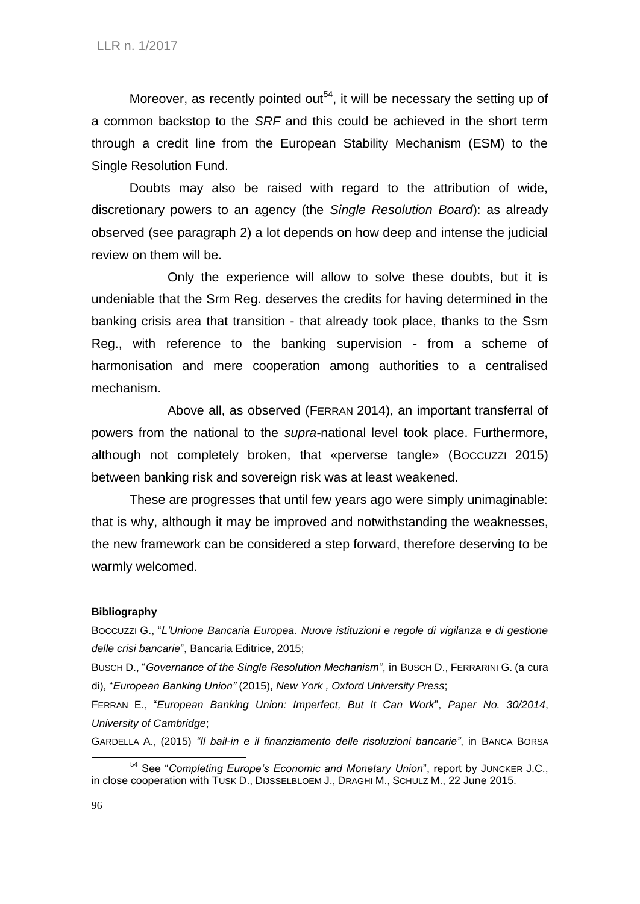Moreover, as recently pointed out<sup>54</sup>, it will be necessary the setting up of a common backstop to the *SRF* and this could be achieved in the short term through a credit line from the European Stability Mechanism (ESM) to the Single Resolution Fund.

Doubts may also be raised with regard to the attribution of wide, discretionary powers to an agency (the *Single Resolution Board*): as already observed (see paragraph 2) a lot depends on how deep and intense the judicial review on them will be.

Only the experience will allow to solve these doubts, but it is undeniable that the Srm Reg. deserves the credits for having determined in the banking crisis area that transition - that already took place, thanks to the Ssm Reg., with reference to the banking supervision - from a scheme of harmonisation and mere cooperation among authorities to a centralised mechanism.

Above all, as observed (FERRAN 2014), an important transferral of powers from the national to the *supra-*national level took place. Furthermore, although not completely broken, that «perverse tangle» (BOCCUZZI 2015) between banking risk and sovereign risk was at least weakened.

These are progresses that until few years ago were simply unimaginable: that is why, although it may be improved and notwithstanding the weaknesses, the new framework can be considered a step forward, therefore deserving to be warmly welcomed.

## **Bibliography**

BOCCUZZI G., "*L'Unione Bancaria Europea*. *Nuove istituzioni e regole di vigilanza e di gestione delle crisi bancarie*", Bancaria Editrice, 2015;

BUSCH D., "*Governance of the Single Resolution Mechanism"*, in BUSCH D., FERRARINI G. (a cura di), "*European Banking Union"* (2015), *New York , Oxford University Press*;

FERRAN E., "*European Banking Union: Imperfect, But It Can Work*", *Paper No. 30/2014*, *University of Cambridge*;

GARDELLA A., (2015) *"Il bail-in e il finanziamento delle risoluzioni bancarie"*, in BANCA BORSA

<sup>54</sup> See "*Completing Europe's Economic and Monetary Union*", report by JUNCKER J.C., in close cooperation with TUSK D., DIJSSELBLOEM J., DRAGHI M., SCHULZ M., 22 June 2015.